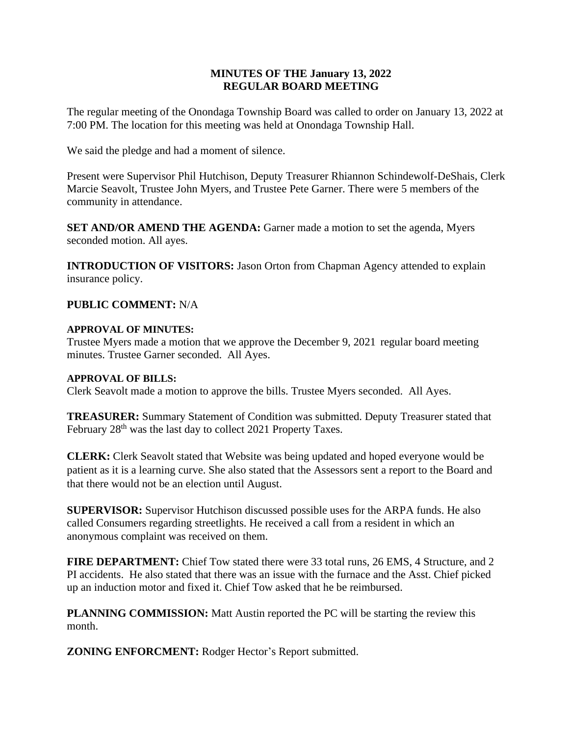### **MINUTES OF THE January 13, 2022 REGULAR BOARD MEETING**

The regular meeting of the Onondaga Township Board was called to order on January 13, 2022 at 7:00 PM. The location for this meeting was held at Onondaga Township Hall.

We said the pledge and had a moment of silence.

Present were Supervisor Phil Hutchison, Deputy Treasurer Rhiannon Schindewolf-DeShais, Clerk Marcie Seavolt, Trustee John Myers, and Trustee Pete Garner. There were 5 members of the community in attendance.

**SET AND/OR AMEND THE AGENDA:** Garner made a motion to set the agenda, Myers seconded motion. All ayes.

**INTRODUCTION OF VISITORS:** Jason Orton from Chapman Agency attended to explain insurance policy.

### **PUBLIC COMMENT:** N/A

#### **APPROVAL OF MINUTES:**

Trustee Myers made a motion that we approve the December 9, 2021 regular board meeting minutes. Trustee Garner seconded. All Ayes.

#### **APPROVAL OF BILLS:**

Clerk Seavolt made a motion to approve the bills. Trustee Myers seconded. All Ayes.

**TREASURER:** Summary Statement of Condition was submitted. Deputy Treasurer stated that February 28<sup>th</sup> was the last day to collect 2021 Property Taxes.

**CLERK:** Clerk Seavolt stated that Website was being updated and hoped everyone would be patient as it is a learning curve. She also stated that the Assessors sent a report to the Board and that there would not be an election until August.

**SUPERVISOR:** Supervisor Hutchison discussed possible uses for the ARPA funds. He also called Consumers regarding streetlights. He received a call from a resident in which an anonymous complaint was received on them.

**FIRE DEPARTMENT:** Chief Tow stated there were 33 total runs, 26 EMS, 4 Structure, and 2 PI accidents. He also stated that there was an issue with the furnace and the Asst. Chief picked up an induction motor and fixed it. Chief Tow asked that he be reimbursed.

**PLANNING COMMISSION:** Matt Austin reported the PC will be starting the review this month.

**ZONING ENFORCMENT:** Rodger Hector's Report submitted.